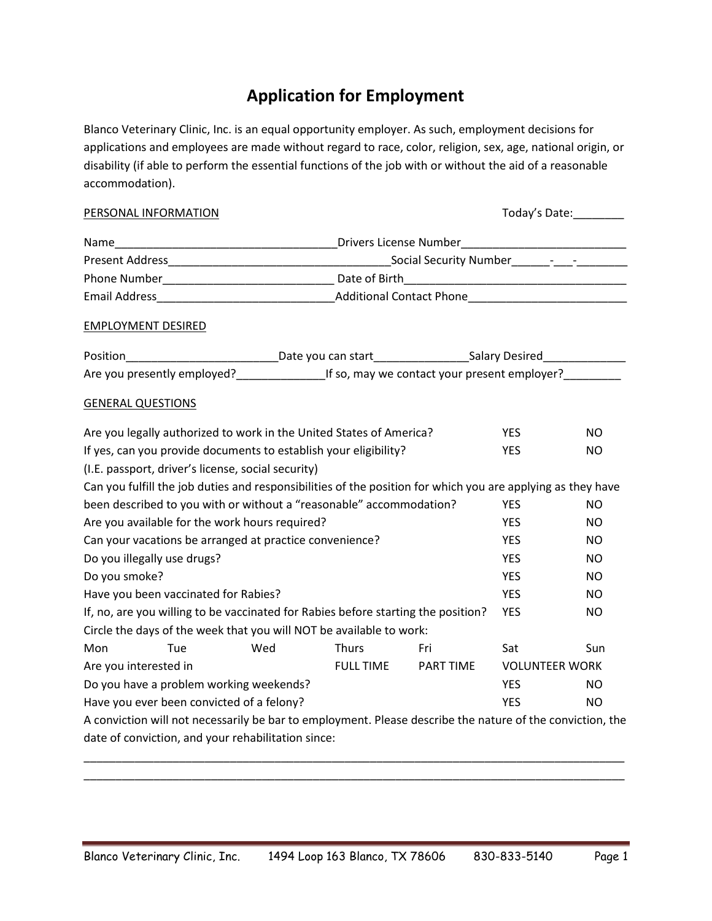# **Application for Employment**

Blanco Veterinary Clinic, Inc. is an equal opportunity employer. As such, employment decisions for applications and employees are made without regard to race, color, religion, sex, age, national origin, or disability (if able to perform the essential functions of the job with or without the aid of a reasonable accommodation).

| PERSONAL INFORMATION                                                                                                                                            | Today's Date:_________             |              |     |            |           |  |
|-----------------------------------------------------------------------------------------------------------------------------------------------------------------|------------------------------------|--------------|-----|------------|-----------|--|
|                                                                                                                                                                 |                                    |              |     |            |           |  |
|                                                                                                                                                                 |                                    |              |     |            |           |  |
|                                                                                                                                                                 |                                    |              |     |            |           |  |
|                                                                                                                                                                 |                                    |              |     |            |           |  |
| <b>EMPLOYMENT DESIRED</b>                                                                                                                                       |                                    |              |     |            |           |  |
| Position__________________________________Date you can start____________________Salary Desired________________                                                  |                                    |              |     |            |           |  |
|                                                                                                                                                                 |                                    |              |     |            |           |  |
| <b>GENERAL QUESTIONS</b>                                                                                                                                        |                                    |              |     |            |           |  |
| Are you legally authorized to work in the United States of America?                                                                                             |                                    |              |     | YES.       | NO.       |  |
| If yes, can you provide documents to establish your eligibility?                                                                                                |                                    |              |     | <b>YES</b> | <b>NO</b> |  |
| (I.E. passport, driver's license, social security)                                                                                                              |                                    |              |     |            |           |  |
| Can you fulfill the job duties and responsibilities of the position for which you are applying as they have                                                     |                                    |              |     |            |           |  |
| been described to you with or without a "reasonable" accommodation?                                                                                             |                                    |              |     | <b>YES</b> | NO.       |  |
| Are you available for the work hours required?                                                                                                                  |                                    |              |     | YES.       | NO.       |  |
| Can your vacations be arranged at practice convenience?                                                                                                         |                                    |              |     | YES.       | NO.       |  |
| Do you illegally use drugs?                                                                                                                                     |                                    |              |     | <b>YES</b> | NO.       |  |
| Do you smoke?                                                                                                                                                   |                                    |              |     | <b>YES</b> | NO.       |  |
| Have you been vaccinated for Rabies?                                                                                                                            |                                    |              |     | <b>YES</b> | NO.       |  |
| If, no, are you willing to be vaccinated for Rabies before starting the position?                                                                               |                                    |              |     | YES        | <b>NO</b> |  |
| Circle the days of the week that you will NOT be available to work:                                                                                             |                                    |              |     |            |           |  |
| Mon<br>Tue                                                                                                                                                      | Wed                                | <b>Thurs</b> | Fri | Sat        | Sun       |  |
| Are you interested in                                                                                                                                           | <b>VOLUNTEER WORK</b><br>PART TIME |              |     |            |           |  |
| Do you have a problem working weekends?                                                                                                                         | <b>YES</b>                         | NO.          |     |            |           |  |
| Have you ever been convicted of a felony?                                                                                                                       | <b>YES</b>                         | NO.          |     |            |           |  |
| A conviction will not necessarily be bar to employment. Please describe the nature of the conviction, the<br>date of conviction, and your rehabilitation since: |                                    |              |     |            |           |  |

\_\_\_\_\_\_\_\_\_\_\_\_\_\_\_\_\_\_\_\_\_\_\_\_\_\_\_\_\_\_\_\_\_\_\_\_\_\_\_\_\_\_\_\_\_\_\_\_\_\_\_\_\_\_\_\_\_\_\_\_\_\_\_\_\_\_\_\_\_\_\_\_\_\_\_\_\_\_\_\_\_\_\_\_\_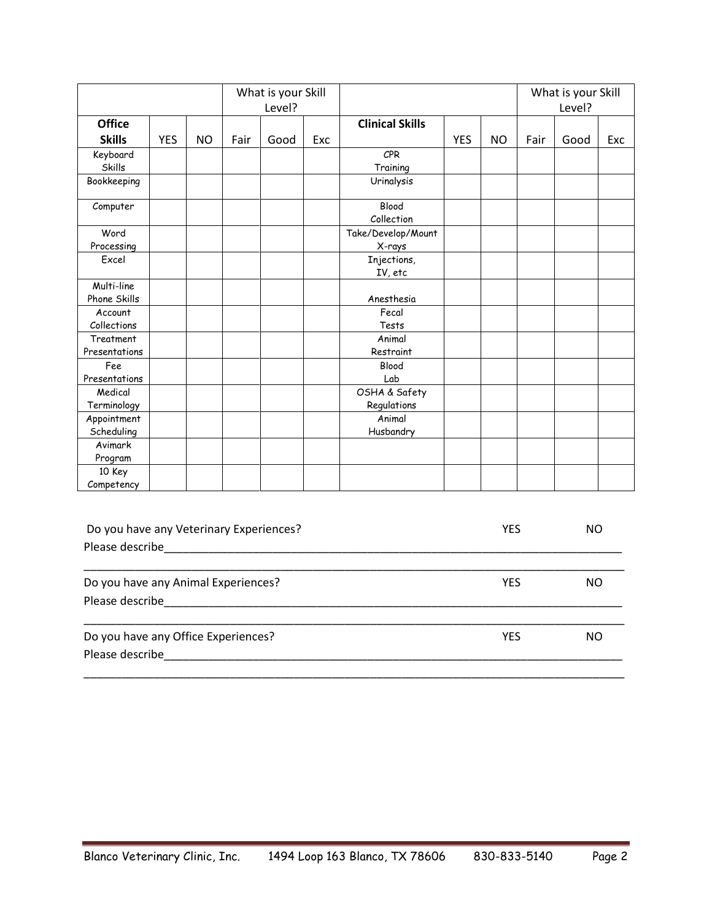|               |            |           |      | What is your Skill |     |                        |            |           |      | What is your Skill |     |
|---------------|------------|-----------|------|--------------------|-----|------------------------|------------|-----------|------|--------------------|-----|
|               |            |           |      | Level?             |     |                        |            |           |      | Level?             |     |
| <b>Office</b> |            |           |      |                    |     | <b>Clinical Skills</b> |            |           |      |                    |     |
| <b>Skills</b> | <b>YES</b> | <b>NO</b> | Fair | Good               | Exc |                        | <b>YES</b> | <b>NO</b> | Fair | Good               | Exc |
| Keyboard      |            |           |      |                    |     | <b>CPR</b>             |            |           |      |                    |     |
| Skills        |            |           |      |                    |     | Training               |            |           |      |                    |     |
| Bookkeeping   |            |           |      |                    |     | Urinalysis             |            |           |      |                    |     |
| Computer      |            |           |      |                    |     | Blood                  |            |           |      |                    |     |
|               |            |           |      |                    |     | Collection             |            |           |      |                    |     |
| Word          |            |           |      |                    |     | Take/Develop/Mount     |            |           |      |                    |     |
| Processing    |            |           |      |                    |     | X-rays                 |            |           |      |                    |     |
| Excel         |            |           |      |                    |     | Injections,            |            |           |      |                    |     |
|               |            |           |      |                    |     | IV, etc                |            |           |      |                    |     |
| Multi-line    |            |           |      |                    |     |                        |            |           |      |                    |     |
| Phone Skills  |            |           |      |                    |     | Anesthesia             |            |           |      |                    |     |
| Account       |            |           |      |                    |     | Fecal                  |            |           |      |                    |     |
| Collections   |            |           |      |                    |     | Tests                  |            |           |      |                    |     |
| Treatment     |            |           |      |                    |     | Animal                 |            |           |      |                    |     |
| Presentations |            |           |      |                    |     | Restraint              |            |           |      |                    |     |
| Fee           |            |           |      |                    |     | Blood                  |            |           |      |                    |     |
| Presentations |            |           |      |                    |     | Lab                    |            |           |      |                    |     |
| Medical       |            |           |      |                    |     | OSHA & Safety          |            |           |      |                    |     |
| Terminology   |            |           |      |                    |     | Regulations            |            |           |      |                    |     |
| Appointment   |            |           |      |                    |     | Animal                 |            |           |      |                    |     |
| Scheduling    |            |           |      |                    |     | Husbandry              |            |           |      |                    |     |
| Avimark       |            |           |      |                    |     |                        |            |           |      |                    |     |
| Program       |            |           |      |                    |     |                        |            |           |      |                    |     |
| 10 Key        |            |           |      |                    |     |                        |            |           |      |                    |     |
| Competency    |            |           |      |                    |     |                        |            |           |      |                    |     |

| Do you have any Veterinary Experiences? | YES        | NΟ |
|-----------------------------------------|------------|----|
|                                         |            |    |
|                                         |            |    |
| Do you have any Animal Experiences?     | <b>YES</b> | NO |
| Please describe                         |            |    |
| Do you have any Office Experiences?     | <b>YES</b> | ΝO |
| Please describe                         |            |    |
|                                         |            |    |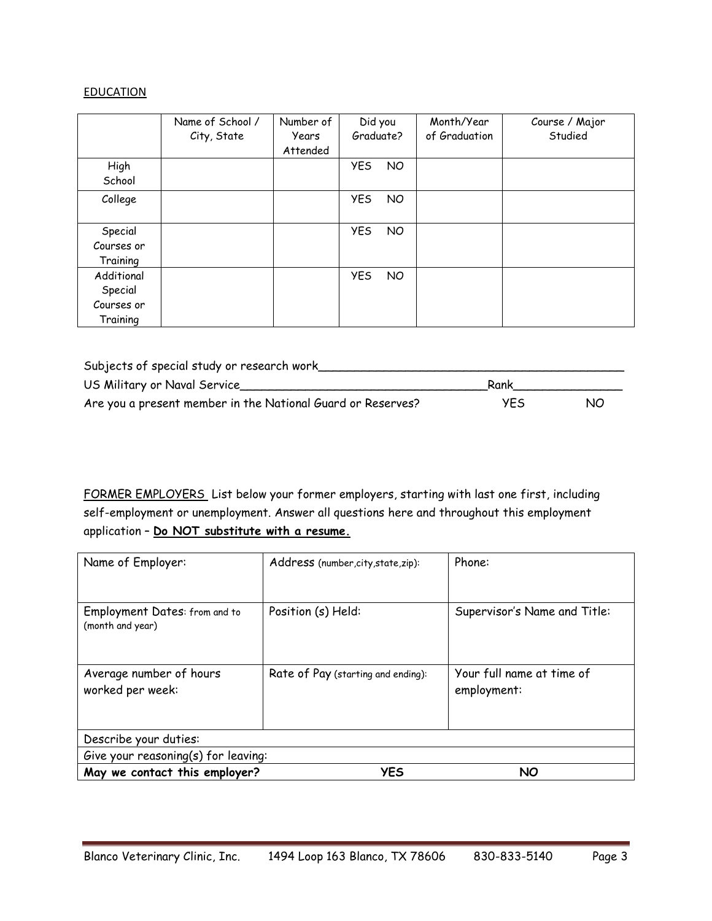### **EDUCATION**

|                                                 | Name of School /<br>City, State | Number of<br>Years<br>Attended | Did you<br>Graduate?          | Month/Year<br>of Graduation | Course / Major<br>Studied |
|-------------------------------------------------|---------------------------------|--------------------------------|-------------------------------|-----------------------------|---------------------------|
| High<br>School                                  |                                 |                                | <b>YES</b><br><b>NO</b>       |                             |                           |
| College                                         |                                 |                                | <b>YES</b><br>NO              |                             |                           |
| Special<br>Courses or<br>Training               |                                 |                                | <b>YES</b><br>NO <sub>1</sub> |                             |                           |
| Additional<br>Special<br>Courses or<br>Training |                                 |                                | <b>YES</b><br>NO              |                             |                           |

| Subjects of special study or research work                  |            |     |
|-------------------------------------------------------------|------------|-----|
| US Military or Naval Service                                | Rank       |     |
| Are you a present member in the National Guard or Reserves? | <b>YES</b> | NO. |

FORMER EMPLOYERS List below your former employers, starting with last one first, including self-employment or unemployment. Answer all questions here and throughout this employment application – **Do NOT substitute with a resume.**

| Name of Employer:                                 | Address (number, city, state, zip): | Phone:                                   |  |  |  |
|---------------------------------------------------|-------------------------------------|------------------------------------------|--|--|--|
| Employment Dates: from and to<br>(month and year) | Position (s) Held:                  | Supervisor's Name and Title:             |  |  |  |
| Average number of hours<br>worked per week:       | Rate of Pay (starting and ending):  | Your full name at time of<br>employment: |  |  |  |
| Describe your duties:                             |                                     |                                          |  |  |  |
|                                                   | Give your reasoning(s) for leaving: |                                          |  |  |  |
| May we contact this employer?                     | <b>YES</b>                          | <b>NO</b>                                |  |  |  |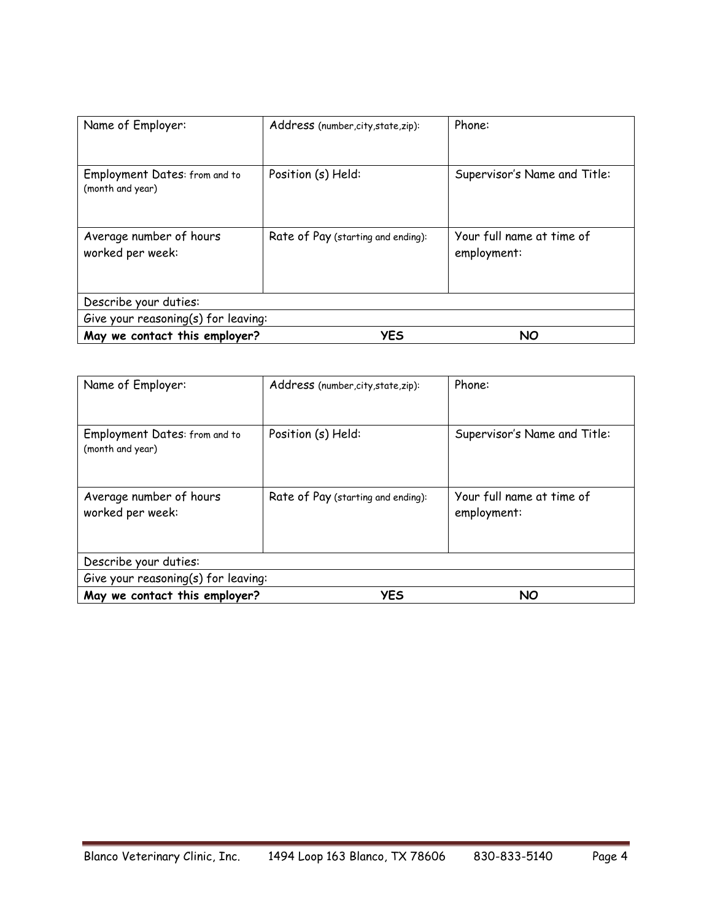| Name of Employer:                                 | Address (number, city, state, zip): | Phone:                                   |  |  |  |  |
|---------------------------------------------------|-------------------------------------|------------------------------------------|--|--|--|--|
| Employment Dates: from and to<br>(month and year) | Position (s) Held:                  | Supervisor's Name and Title:             |  |  |  |  |
| Average number of hours<br>worked per week:       | Rate of Pay (starting and ending):  | Your full name at time of<br>employment: |  |  |  |  |
| Describe your duties:                             |                                     |                                          |  |  |  |  |
|                                                   | Give your reasoning(s) for leaving: |                                          |  |  |  |  |
| May we contact this employer?                     | <b>YES</b>                          | <b>NO</b>                                |  |  |  |  |

| Name of Employer:                                 | Address (number, city, state, zip): | Phone:                                   |  |  |  |
|---------------------------------------------------|-------------------------------------|------------------------------------------|--|--|--|
| Employment Dates: from and to<br>(month and year) | Position (s) Held:                  | Supervisor's Name and Title:             |  |  |  |
| Average number of hours<br>worked per week:       | Rate of Pay (starting and ending):  | Your full name at time of<br>employment: |  |  |  |
| Describe your duties:                             |                                     |                                          |  |  |  |
|                                                   | Give your reasoning(s) for leaving: |                                          |  |  |  |
| May we contact this employer?                     | <b>YES</b>                          | <b>NO</b>                                |  |  |  |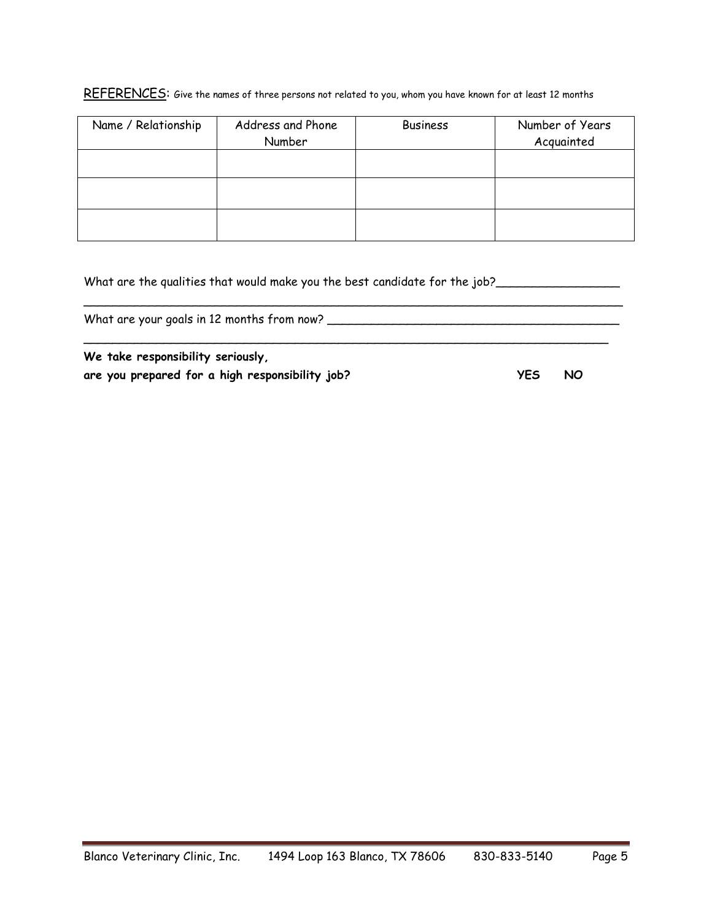### REFERENCES: Give the names of three persons not related to you, whom you have known for at least 12 months

| Name / Relationship | Address and Phone<br>Number | <b>Business</b> | Number of Years<br>Acquainted |
|---------------------|-----------------------------|-----------------|-------------------------------|
|                     |                             |                 |                               |
|                     |                             |                 |                               |
|                     |                             |                 |                               |
|                     |                             |                 |                               |
|                     |                             |                 |                               |
|                     |                             |                 |                               |

| We take responsibility seriously,                                          |  |
|----------------------------------------------------------------------------|--|
| What are your goals in 12 months from now?                                 |  |
| What are the qualities that would make you the best candidate for the job? |  |

**are you prepared for a high responsibility job? YES NO**